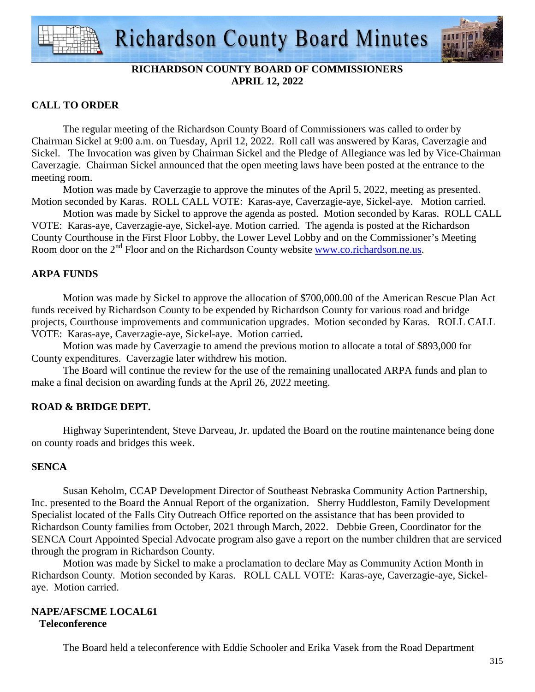



## **RICHARDSON COUNTY BOARD OF COMMISSIONERS APRIL 12, 2022**

## **CALL TO ORDER**

 The regular meeting of the Richardson County Board of Commissioners was called to order by Chairman Sickel at 9:00 a.m. on Tuesday, April 12, 2022. Roll call was answered by Karas, Caverzagie and Sickel. The Invocation was given by Chairman Sickel and the Pledge of Allegiance was led by Vice-Chairman Caverzagie. Chairman Sickel announced that the open meeting laws have been posted at the entrance to the meeting room.

 Motion was made by Caverzagie to approve the minutes of the April 5, 2022, meeting as presented. Motion seconded by Karas. ROLL CALL VOTE: Karas-aye, Caverzagie-aye, Sickel-aye. Motion carried.

 Motion was made by Sickel to approve the agenda as posted. Motion seconded by Karas. ROLL CALL VOTE: Karas-aye, Caverzagie-aye, Sickel-aye. Motion carried. The agenda is posted at the Richardson County Courthouse in the First Floor Lobby, the Lower Level Lobby and on the Commissioner's Meeting Room door on the 2<sup>nd</sup> Floor and on the Richardson County website www.co.richardson.ne.us.

## **ARPA FUNDS**

Motion was made by Sickel to approve the allocation of \$700,000.00 of the American Rescue Plan Act funds received by Richardson County to be expended by Richardson County for various road and bridge projects, Courthouse improvements and communication upgrades. Motion seconded by Karas. ROLL CALL VOTE: Karas-aye, Caverzagie-aye, Sickel-aye. Motion carried**.** 

Motion was made by Caverzagie to amend the previous motion to allocate a total of \$893,000 for County expenditures. Caverzagie later withdrew his motion.

 The Board will continue the review for the use of the remaining unallocated ARPA funds and plan to make a final decision on awarding funds at the April 26, 2022 meeting.

## **ROAD & BRIDGE DEPT.**

Highway Superintendent, Steve Darveau, Jr. updated the Board on the routine maintenance being done on county roads and bridges this week.

#### **SENCA**

Susan Keholm, CCAP Development Director of Southeast Nebraska Community Action Partnership, Inc. presented to the Board the Annual Report of the organization. Sherry Huddleston, Family Development Specialist located of the Falls City Outreach Office reported on the assistance that has been provided to Richardson County families from October, 2021 through March, 2022. Debbie Green, Coordinator for the SENCA Court Appointed Special Advocate program also gave a report on the number children that are serviced through the program in Richardson County.

 Motion was made by Sickel to make a proclamation to declare May as Community Action Month in Richardson County. Motion seconded by Karas. ROLL CALL VOTE: Karas-aye, Caverzagie-aye, Sickelaye. Motion carried.

#### **NAPE/AFSCME LOCAL61 Teleconference**

The Board held a teleconference with Eddie Schooler and Erika Vasek from the Road Department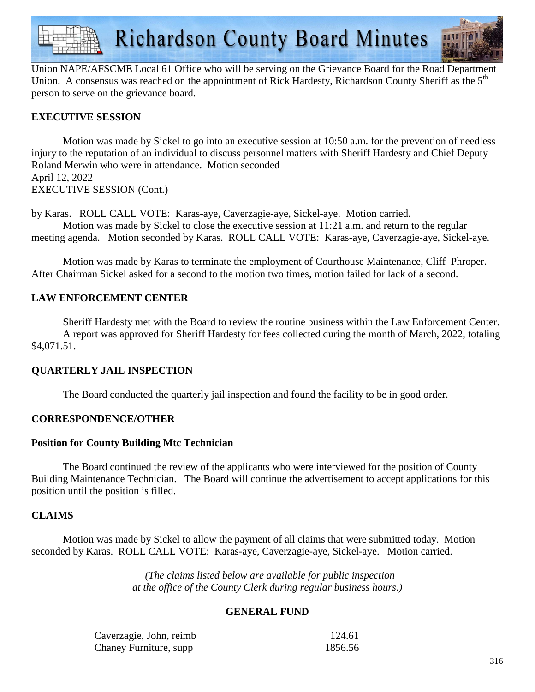

Union NAPE/AFSCME Local 61 Office who will be serving on the Grievance Board for the Road Department Union. A consensus was reached on the appointment of Rick Hardesty, Richardson County Sheriff as the  $5<sup>th</sup>$ person to serve on the grievance board.

## **EXECUTIVE SESSION**

Motion was made by Sickel to go into an executive session at 10:50 a.m. for the prevention of needless injury to the reputation of an individual to discuss personnel matters with Sheriff Hardesty and Chief Deputy Roland Merwin who were in attendance. Motion seconded April 12, 2022 EXECUTIVE SESSION (Cont.)

by Karas. ROLL CALL VOTE: Karas-aye, Caverzagie-aye, Sickel-aye. Motion carried. Motion was made by Sickel to close the executive session at 11:21 a.m. and return to the regular meeting agenda. Motion seconded by Karas. ROLL CALL VOTE: Karas-aye, Caverzagie-aye, Sickel-aye.

Motion was made by Karas to terminate the employment of Courthouse Maintenance, Cliff Phroper. After Chairman Sickel asked for a second to the motion two times, motion failed for lack of a second.

### **LAW ENFORCEMENT CENTER**

 Sheriff Hardesty met with the Board to review the routine business within the Law Enforcement Center. A report was approved for Sheriff Hardesty for fees collected during the month of March, 2022, totaling \$4,071.51.

#### **QUARTERLY JAIL INSPECTION**

The Board conducted the quarterly jail inspection and found the facility to be in good order.

#### **CORRESPONDENCE/OTHER**

#### **Position for County Building Mtc Technician**

 The Board continued the review of the applicants who were interviewed for the position of County Building Maintenance Technician. The Board will continue the advertisement to accept applications for this position until the position is filled.

#### **CLAIMS**

Motion was made by Sickel to allow the payment of all claims that were submitted today. Motion seconded by Karas. ROLL CALL VOTE: Karas-aye, Caverzagie-aye, Sickel-aye. Motion carried.

> *(The claims listed below are available for public inspection at the office of the County Clerk during regular business hours.)*

#### **GENERAL FUND**

| Caverzagie, John, reimb | 124.61  |
|-------------------------|---------|
| Chaney Furniture, supp  | 1856.56 |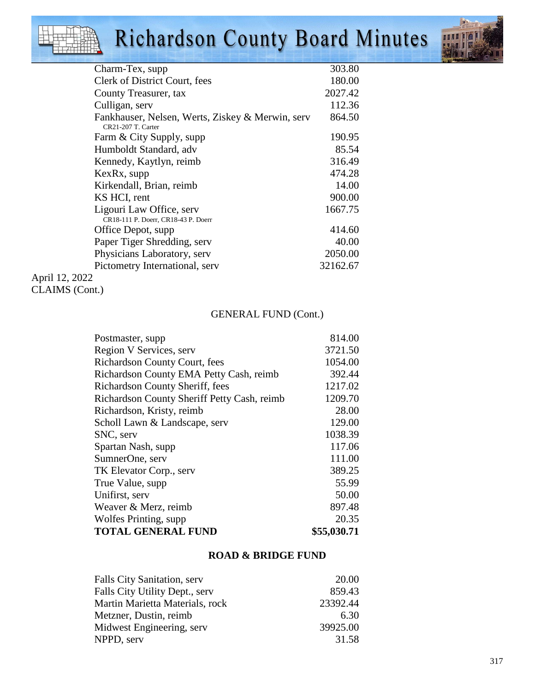# Richardson County Board Minutes



| Charm-Tex, supp                                                        | 303.80   |
|------------------------------------------------------------------------|----------|
| Clerk of District Court, fees                                          | 180.00   |
| County Treasurer, tax                                                  | 2027.42  |
| Culligan, serv                                                         | 112.36   |
| Fankhauser, Nelsen, Werts, Ziskey & Merwin, serv<br>CR21-207 T. Carter | 864.50   |
| Farm & City Supply, supp                                               | 190.95   |
| Humboldt Standard, adv                                                 | 85.54    |
| Kennedy, Kaytlyn, reimb                                                | 316.49   |
| KexRx, supp                                                            | 474.28   |
| Kirkendall, Brian, reimb                                               | 14.00    |
| KS HCI, rent                                                           | 900.00   |
| Ligouri Law Office, serv<br>CR18-111 P. Doerr, CR18-43 P. Doerr        | 1667.75  |
| Office Depot, supp                                                     | 414.60   |
| Paper Tiger Shredding, serv                                            | 40.00    |
| Physicians Laboratory, serv                                            | 2050.00  |
| Pictometry International, serv                                         | 32162.67 |
| April 12 $2022$                                                        |          |

April 12, 2022 CLAIMS (Cont.)

## GENERAL FUND (Cont.)

| Postmaster, supp                            | 814.00      |
|---------------------------------------------|-------------|
| Region V Services, serv                     | 3721.50     |
| <b>Richardson County Court, fees</b>        | 1054.00     |
| Richardson County EMA Petty Cash, reimb     | 392.44      |
| Richardson County Sheriff, fees             | 1217.02     |
| Richardson County Sheriff Petty Cash, reimb | 1209.70     |
| Richardson, Kristy, reimb                   | 28.00       |
| Scholl Lawn & Landscape, serv               | 129.00      |
| SNC, serv                                   | 1038.39     |
| Spartan Nash, supp                          | 117.06      |
| SumnerOne, serv                             | 111.00      |
| TK Elevator Corp., serv                     | 389.25      |
| True Value, supp.                           | 55.99       |
| Unifirst, serv                              | 50.00       |
| Weaver & Merz, reimb                        | 897.48      |
| Wolfes Printing, supp.                      | 20.35       |
| <b>TOTAL GENERAL FUND</b>                   | \$55,030.71 |
|                                             |             |

## **ROAD & BRIDGE FUND**

| Falls City Sanitation, serv     | 20.00    |
|---------------------------------|----------|
| Falls City Utility Dept., serv  | 859.43   |
| Martin Marietta Materials, rock | 23392.44 |
| Metzner, Dustin, reimb          | 6.30     |
| Midwest Engineering, serv       | 39925.00 |
| NPPD, serv                      | 31.58    |